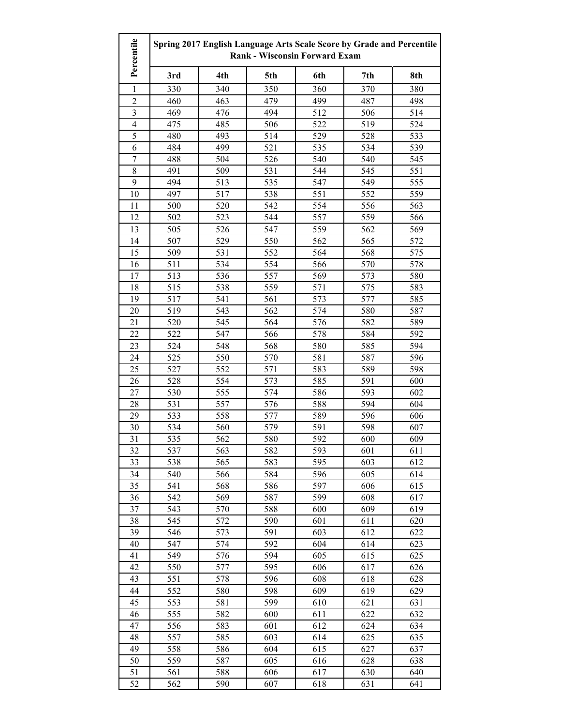| 3rd<br>4th<br>5th<br>6th<br>7th<br>8th<br>350<br>360<br>380<br>330<br>340<br>370<br>1<br>$\overline{2}$<br>460<br>463<br>479<br>499<br>487<br>498<br>$\mathfrak{Z}$<br>469<br>476<br>494<br>512<br>506<br>514<br>$\overline{\mathcal{L}}$<br>506<br>522<br>475<br>485<br>519<br>524<br>5<br>514<br>493<br>529<br>528<br>533<br>480<br>6<br>484<br>499<br>521<br>535<br>534<br>539<br>$\overline{7}$<br>488<br>504<br>526<br>540<br>545<br>540<br>$\,$ 8 $\,$<br>491<br>509<br>531<br>544<br>545<br>551<br>9<br>555<br>494<br>513<br>535<br>547<br>549<br>10<br>497<br>517<br>538<br>551<br>552<br>559<br>11<br>520<br>542<br>554<br>556<br>563<br>500<br>12<br>523<br>544<br>557<br>559<br>566<br>502<br>547<br>13<br>505<br>526<br>559<br>562<br>569<br>14<br>507<br>529<br>550<br>562<br>565<br>572<br>531<br>552<br>564<br>568<br>575<br>15<br>509<br>16<br>511<br>534<br>554<br>566<br>570<br>578<br>17<br>513<br>536<br>557<br>569<br>573<br>580<br>18<br>515<br>538<br>559<br>571<br>575<br>583<br>19<br>517<br>541<br>561<br>573<br>577<br>585<br>20<br>519<br>543<br>562<br>574<br>580<br>587<br>520<br>545<br>564<br>582<br>589<br>21<br>576<br>22<br>522<br>547<br>566<br>578<br>584<br>592<br>23<br>524<br>548<br>568<br>580<br>585<br>594<br>550<br>24<br>525<br>570<br>581<br>587<br>596<br>25<br>527<br>552<br>571<br>583<br>589<br>598<br>554<br>573<br>26<br>528<br>585<br>591<br>600<br>27<br>555<br>574<br>586<br>593<br>602<br>530<br>557<br>576<br>594<br>28<br>531<br>588<br>604<br>29<br>533<br>558<br>577<br>589<br>596<br>606<br>30<br>534<br>560<br>579<br>591<br>598<br>607<br>31<br>535<br>562<br>580<br>592<br>600<br>609<br>563<br>32<br>537<br>582<br>593<br>601<br>611<br>33<br>565<br>595<br>603<br>612<br>538<br>583<br>34<br>566<br>584<br>605<br>614<br>540<br>596<br>35<br>541<br>568<br>586<br>597<br>606<br>615<br>36<br>542<br>569<br>587<br>599<br>608<br>617<br>37<br>543<br>570<br>588<br>609<br>619<br>600<br>38<br>545<br>572<br>590<br>601<br>611<br>620<br>546<br>573<br>591<br>603<br>612<br>622<br>39<br>574<br>592<br>40<br>547<br>604<br>614<br>623<br>549<br>576<br>594<br>605<br>615<br>625<br>41<br>42<br>550<br>577<br>595<br>606<br>626<br>617<br>551<br>596<br>43<br>578<br>608<br>618<br>628<br>552<br>598<br>44<br>580<br>609<br>619<br>629<br>599<br>621<br>45<br>553<br>581<br>610<br>631<br>555<br>582<br>622<br>46<br>600<br>611<br>632<br>556<br>612<br>583<br>601<br>624<br>634<br>47<br>585<br>603<br>48<br>557<br>614<br>625<br>635<br>558<br>586<br>49<br>604<br>615<br>627<br>637<br>50<br>559<br>587<br>605<br>616<br>628<br>638<br>51<br>561<br>588<br>606<br>617<br>630<br>640 | Percentile | Spring 2017 English Language Arts Scale Score by Grade and Percentile<br><b>Rank - Wisconsin Forward Exam</b> |     |     |     |     |     |
|-------------------------------------------------------------------------------------------------------------------------------------------------------------------------------------------------------------------------------------------------------------------------------------------------------------------------------------------------------------------------------------------------------------------------------------------------------------------------------------------------------------------------------------------------------------------------------------------------------------------------------------------------------------------------------------------------------------------------------------------------------------------------------------------------------------------------------------------------------------------------------------------------------------------------------------------------------------------------------------------------------------------------------------------------------------------------------------------------------------------------------------------------------------------------------------------------------------------------------------------------------------------------------------------------------------------------------------------------------------------------------------------------------------------------------------------------------------------------------------------------------------------------------------------------------------------------------------------------------------------------------------------------------------------------------------------------------------------------------------------------------------------------------------------------------------------------------------------------------------------------------------------------------------------------------------------------------------------------------------------------------------------------------------------------------------------------------------------------------------------------------------------------------------------------------------------------------------------------------------------------------------------------------------------------------------------------------------------------------------------------------------------------------------------------------------------------------------------------------------------------------------------------------------------------------------------------------------------------------------------------------------------------------|------------|---------------------------------------------------------------------------------------------------------------|-----|-----|-----|-----|-----|
|                                                                                                                                                                                                                                                                                                                                                                                                                                                                                                                                                                                                                                                                                                                                                                                                                                                                                                                                                                                                                                                                                                                                                                                                                                                                                                                                                                                                                                                                                                                                                                                                                                                                                                                                                                                                                                                                                                                                                                                                                                                                                                                                                                                                                                                                                                                                                                                                                                                                                                                                                                                                                                                       |            |                                                                                                               |     |     |     |     |     |
|                                                                                                                                                                                                                                                                                                                                                                                                                                                                                                                                                                                                                                                                                                                                                                                                                                                                                                                                                                                                                                                                                                                                                                                                                                                                                                                                                                                                                                                                                                                                                                                                                                                                                                                                                                                                                                                                                                                                                                                                                                                                                                                                                                                                                                                                                                                                                                                                                                                                                                                                                                                                                                                       |            |                                                                                                               |     |     |     |     |     |
|                                                                                                                                                                                                                                                                                                                                                                                                                                                                                                                                                                                                                                                                                                                                                                                                                                                                                                                                                                                                                                                                                                                                                                                                                                                                                                                                                                                                                                                                                                                                                                                                                                                                                                                                                                                                                                                                                                                                                                                                                                                                                                                                                                                                                                                                                                                                                                                                                                                                                                                                                                                                                                                       |            |                                                                                                               |     |     |     |     |     |
|                                                                                                                                                                                                                                                                                                                                                                                                                                                                                                                                                                                                                                                                                                                                                                                                                                                                                                                                                                                                                                                                                                                                                                                                                                                                                                                                                                                                                                                                                                                                                                                                                                                                                                                                                                                                                                                                                                                                                                                                                                                                                                                                                                                                                                                                                                                                                                                                                                                                                                                                                                                                                                                       |            |                                                                                                               |     |     |     |     |     |
|                                                                                                                                                                                                                                                                                                                                                                                                                                                                                                                                                                                                                                                                                                                                                                                                                                                                                                                                                                                                                                                                                                                                                                                                                                                                                                                                                                                                                                                                                                                                                                                                                                                                                                                                                                                                                                                                                                                                                                                                                                                                                                                                                                                                                                                                                                                                                                                                                                                                                                                                                                                                                                                       |            |                                                                                                               |     |     |     |     |     |
|                                                                                                                                                                                                                                                                                                                                                                                                                                                                                                                                                                                                                                                                                                                                                                                                                                                                                                                                                                                                                                                                                                                                                                                                                                                                                                                                                                                                                                                                                                                                                                                                                                                                                                                                                                                                                                                                                                                                                                                                                                                                                                                                                                                                                                                                                                                                                                                                                                                                                                                                                                                                                                                       |            |                                                                                                               |     |     |     |     |     |
|                                                                                                                                                                                                                                                                                                                                                                                                                                                                                                                                                                                                                                                                                                                                                                                                                                                                                                                                                                                                                                                                                                                                                                                                                                                                                                                                                                                                                                                                                                                                                                                                                                                                                                                                                                                                                                                                                                                                                                                                                                                                                                                                                                                                                                                                                                                                                                                                                                                                                                                                                                                                                                                       |            |                                                                                                               |     |     |     |     |     |
|                                                                                                                                                                                                                                                                                                                                                                                                                                                                                                                                                                                                                                                                                                                                                                                                                                                                                                                                                                                                                                                                                                                                                                                                                                                                                                                                                                                                                                                                                                                                                                                                                                                                                                                                                                                                                                                                                                                                                                                                                                                                                                                                                                                                                                                                                                                                                                                                                                                                                                                                                                                                                                                       |            |                                                                                                               |     |     |     |     |     |
|                                                                                                                                                                                                                                                                                                                                                                                                                                                                                                                                                                                                                                                                                                                                                                                                                                                                                                                                                                                                                                                                                                                                                                                                                                                                                                                                                                                                                                                                                                                                                                                                                                                                                                                                                                                                                                                                                                                                                                                                                                                                                                                                                                                                                                                                                                                                                                                                                                                                                                                                                                                                                                                       |            |                                                                                                               |     |     |     |     |     |
|                                                                                                                                                                                                                                                                                                                                                                                                                                                                                                                                                                                                                                                                                                                                                                                                                                                                                                                                                                                                                                                                                                                                                                                                                                                                                                                                                                                                                                                                                                                                                                                                                                                                                                                                                                                                                                                                                                                                                                                                                                                                                                                                                                                                                                                                                                                                                                                                                                                                                                                                                                                                                                                       |            |                                                                                                               |     |     |     |     |     |
|                                                                                                                                                                                                                                                                                                                                                                                                                                                                                                                                                                                                                                                                                                                                                                                                                                                                                                                                                                                                                                                                                                                                                                                                                                                                                                                                                                                                                                                                                                                                                                                                                                                                                                                                                                                                                                                                                                                                                                                                                                                                                                                                                                                                                                                                                                                                                                                                                                                                                                                                                                                                                                                       |            |                                                                                                               |     |     |     |     |     |
|                                                                                                                                                                                                                                                                                                                                                                                                                                                                                                                                                                                                                                                                                                                                                                                                                                                                                                                                                                                                                                                                                                                                                                                                                                                                                                                                                                                                                                                                                                                                                                                                                                                                                                                                                                                                                                                                                                                                                                                                                                                                                                                                                                                                                                                                                                                                                                                                                                                                                                                                                                                                                                                       |            |                                                                                                               |     |     |     |     |     |
|                                                                                                                                                                                                                                                                                                                                                                                                                                                                                                                                                                                                                                                                                                                                                                                                                                                                                                                                                                                                                                                                                                                                                                                                                                                                                                                                                                                                                                                                                                                                                                                                                                                                                                                                                                                                                                                                                                                                                                                                                                                                                                                                                                                                                                                                                                                                                                                                                                                                                                                                                                                                                                                       |            |                                                                                                               |     |     |     |     |     |
|                                                                                                                                                                                                                                                                                                                                                                                                                                                                                                                                                                                                                                                                                                                                                                                                                                                                                                                                                                                                                                                                                                                                                                                                                                                                                                                                                                                                                                                                                                                                                                                                                                                                                                                                                                                                                                                                                                                                                                                                                                                                                                                                                                                                                                                                                                                                                                                                                                                                                                                                                                                                                                                       |            |                                                                                                               |     |     |     |     |     |
|                                                                                                                                                                                                                                                                                                                                                                                                                                                                                                                                                                                                                                                                                                                                                                                                                                                                                                                                                                                                                                                                                                                                                                                                                                                                                                                                                                                                                                                                                                                                                                                                                                                                                                                                                                                                                                                                                                                                                                                                                                                                                                                                                                                                                                                                                                                                                                                                                                                                                                                                                                                                                                                       |            |                                                                                                               |     |     |     |     |     |
|                                                                                                                                                                                                                                                                                                                                                                                                                                                                                                                                                                                                                                                                                                                                                                                                                                                                                                                                                                                                                                                                                                                                                                                                                                                                                                                                                                                                                                                                                                                                                                                                                                                                                                                                                                                                                                                                                                                                                                                                                                                                                                                                                                                                                                                                                                                                                                                                                                                                                                                                                                                                                                                       |            |                                                                                                               |     |     |     |     |     |
|                                                                                                                                                                                                                                                                                                                                                                                                                                                                                                                                                                                                                                                                                                                                                                                                                                                                                                                                                                                                                                                                                                                                                                                                                                                                                                                                                                                                                                                                                                                                                                                                                                                                                                                                                                                                                                                                                                                                                                                                                                                                                                                                                                                                                                                                                                                                                                                                                                                                                                                                                                                                                                                       |            |                                                                                                               |     |     |     |     |     |
|                                                                                                                                                                                                                                                                                                                                                                                                                                                                                                                                                                                                                                                                                                                                                                                                                                                                                                                                                                                                                                                                                                                                                                                                                                                                                                                                                                                                                                                                                                                                                                                                                                                                                                                                                                                                                                                                                                                                                                                                                                                                                                                                                                                                                                                                                                                                                                                                                                                                                                                                                                                                                                                       |            |                                                                                                               |     |     |     |     |     |
|                                                                                                                                                                                                                                                                                                                                                                                                                                                                                                                                                                                                                                                                                                                                                                                                                                                                                                                                                                                                                                                                                                                                                                                                                                                                                                                                                                                                                                                                                                                                                                                                                                                                                                                                                                                                                                                                                                                                                                                                                                                                                                                                                                                                                                                                                                                                                                                                                                                                                                                                                                                                                                                       |            |                                                                                                               |     |     |     |     |     |
|                                                                                                                                                                                                                                                                                                                                                                                                                                                                                                                                                                                                                                                                                                                                                                                                                                                                                                                                                                                                                                                                                                                                                                                                                                                                                                                                                                                                                                                                                                                                                                                                                                                                                                                                                                                                                                                                                                                                                                                                                                                                                                                                                                                                                                                                                                                                                                                                                                                                                                                                                                                                                                                       |            |                                                                                                               |     |     |     |     |     |
|                                                                                                                                                                                                                                                                                                                                                                                                                                                                                                                                                                                                                                                                                                                                                                                                                                                                                                                                                                                                                                                                                                                                                                                                                                                                                                                                                                                                                                                                                                                                                                                                                                                                                                                                                                                                                                                                                                                                                                                                                                                                                                                                                                                                                                                                                                                                                                                                                                                                                                                                                                                                                                                       |            |                                                                                                               |     |     |     |     |     |
|                                                                                                                                                                                                                                                                                                                                                                                                                                                                                                                                                                                                                                                                                                                                                                                                                                                                                                                                                                                                                                                                                                                                                                                                                                                                                                                                                                                                                                                                                                                                                                                                                                                                                                                                                                                                                                                                                                                                                                                                                                                                                                                                                                                                                                                                                                                                                                                                                                                                                                                                                                                                                                                       |            |                                                                                                               |     |     |     |     |     |
|                                                                                                                                                                                                                                                                                                                                                                                                                                                                                                                                                                                                                                                                                                                                                                                                                                                                                                                                                                                                                                                                                                                                                                                                                                                                                                                                                                                                                                                                                                                                                                                                                                                                                                                                                                                                                                                                                                                                                                                                                                                                                                                                                                                                                                                                                                                                                                                                                                                                                                                                                                                                                                                       |            |                                                                                                               |     |     |     |     |     |
|                                                                                                                                                                                                                                                                                                                                                                                                                                                                                                                                                                                                                                                                                                                                                                                                                                                                                                                                                                                                                                                                                                                                                                                                                                                                                                                                                                                                                                                                                                                                                                                                                                                                                                                                                                                                                                                                                                                                                                                                                                                                                                                                                                                                                                                                                                                                                                                                                                                                                                                                                                                                                                                       |            |                                                                                                               |     |     |     |     |     |
|                                                                                                                                                                                                                                                                                                                                                                                                                                                                                                                                                                                                                                                                                                                                                                                                                                                                                                                                                                                                                                                                                                                                                                                                                                                                                                                                                                                                                                                                                                                                                                                                                                                                                                                                                                                                                                                                                                                                                                                                                                                                                                                                                                                                                                                                                                                                                                                                                                                                                                                                                                                                                                                       |            |                                                                                                               |     |     |     |     |     |
|                                                                                                                                                                                                                                                                                                                                                                                                                                                                                                                                                                                                                                                                                                                                                                                                                                                                                                                                                                                                                                                                                                                                                                                                                                                                                                                                                                                                                                                                                                                                                                                                                                                                                                                                                                                                                                                                                                                                                                                                                                                                                                                                                                                                                                                                                                                                                                                                                                                                                                                                                                                                                                                       |            |                                                                                                               |     |     |     |     |     |
|                                                                                                                                                                                                                                                                                                                                                                                                                                                                                                                                                                                                                                                                                                                                                                                                                                                                                                                                                                                                                                                                                                                                                                                                                                                                                                                                                                                                                                                                                                                                                                                                                                                                                                                                                                                                                                                                                                                                                                                                                                                                                                                                                                                                                                                                                                                                                                                                                                                                                                                                                                                                                                                       |            |                                                                                                               |     |     |     |     |     |
|                                                                                                                                                                                                                                                                                                                                                                                                                                                                                                                                                                                                                                                                                                                                                                                                                                                                                                                                                                                                                                                                                                                                                                                                                                                                                                                                                                                                                                                                                                                                                                                                                                                                                                                                                                                                                                                                                                                                                                                                                                                                                                                                                                                                                                                                                                                                                                                                                                                                                                                                                                                                                                                       |            |                                                                                                               |     |     |     |     |     |
|                                                                                                                                                                                                                                                                                                                                                                                                                                                                                                                                                                                                                                                                                                                                                                                                                                                                                                                                                                                                                                                                                                                                                                                                                                                                                                                                                                                                                                                                                                                                                                                                                                                                                                                                                                                                                                                                                                                                                                                                                                                                                                                                                                                                                                                                                                                                                                                                                                                                                                                                                                                                                                                       |            |                                                                                                               |     |     |     |     |     |
|                                                                                                                                                                                                                                                                                                                                                                                                                                                                                                                                                                                                                                                                                                                                                                                                                                                                                                                                                                                                                                                                                                                                                                                                                                                                                                                                                                                                                                                                                                                                                                                                                                                                                                                                                                                                                                                                                                                                                                                                                                                                                                                                                                                                                                                                                                                                                                                                                                                                                                                                                                                                                                                       |            |                                                                                                               |     |     |     |     |     |
|                                                                                                                                                                                                                                                                                                                                                                                                                                                                                                                                                                                                                                                                                                                                                                                                                                                                                                                                                                                                                                                                                                                                                                                                                                                                                                                                                                                                                                                                                                                                                                                                                                                                                                                                                                                                                                                                                                                                                                                                                                                                                                                                                                                                                                                                                                                                                                                                                                                                                                                                                                                                                                                       |            |                                                                                                               |     |     |     |     |     |
|                                                                                                                                                                                                                                                                                                                                                                                                                                                                                                                                                                                                                                                                                                                                                                                                                                                                                                                                                                                                                                                                                                                                                                                                                                                                                                                                                                                                                                                                                                                                                                                                                                                                                                                                                                                                                                                                                                                                                                                                                                                                                                                                                                                                                                                                                                                                                                                                                                                                                                                                                                                                                                                       |            |                                                                                                               |     |     |     |     |     |
|                                                                                                                                                                                                                                                                                                                                                                                                                                                                                                                                                                                                                                                                                                                                                                                                                                                                                                                                                                                                                                                                                                                                                                                                                                                                                                                                                                                                                                                                                                                                                                                                                                                                                                                                                                                                                                                                                                                                                                                                                                                                                                                                                                                                                                                                                                                                                                                                                                                                                                                                                                                                                                                       |            |                                                                                                               |     |     |     |     |     |
|                                                                                                                                                                                                                                                                                                                                                                                                                                                                                                                                                                                                                                                                                                                                                                                                                                                                                                                                                                                                                                                                                                                                                                                                                                                                                                                                                                                                                                                                                                                                                                                                                                                                                                                                                                                                                                                                                                                                                                                                                                                                                                                                                                                                                                                                                                                                                                                                                                                                                                                                                                                                                                                       |            |                                                                                                               |     |     |     |     |     |
|                                                                                                                                                                                                                                                                                                                                                                                                                                                                                                                                                                                                                                                                                                                                                                                                                                                                                                                                                                                                                                                                                                                                                                                                                                                                                                                                                                                                                                                                                                                                                                                                                                                                                                                                                                                                                                                                                                                                                                                                                                                                                                                                                                                                                                                                                                                                                                                                                                                                                                                                                                                                                                                       |            |                                                                                                               |     |     |     |     |     |
|                                                                                                                                                                                                                                                                                                                                                                                                                                                                                                                                                                                                                                                                                                                                                                                                                                                                                                                                                                                                                                                                                                                                                                                                                                                                                                                                                                                                                                                                                                                                                                                                                                                                                                                                                                                                                                                                                                                                                                                                                                                                                                                                                                                                                                                                                                                                                                                                                                                                                                                                                                                                                                                       |            |                                                                                                               |     |     |     |     |     |
|                                                                                                                                                                                                                                                                                                                                                                                                                                                                                                                                                                                                                                                                                                                                                                                                                                                                                                                                                                                                                                                                                                                                                                                                                                                                                                                                                                                                                                                                                                                                                                                                                                                                                                                                                                                                                                                                                                                                                                                                                                                                                                                                                                                                                                                                                                                                                                                                                                                                                                                                                                                                                                                       |            |                                                                                                               |     |     |     |     |     |
|                                                                                                                                                                                                                                                                                                                                                                                                                                                                                                                                                                                                                                                                                                                                                                                                                                                                                                                                                                                                                                                                                                                                                                                                                                                                                                                                                                                                                                                                                                                                                                                                                                                                                                                                                                                                                                                                                                                                                                                                                                                                                                                                                                                                                                                                                                                                                                                                                                                                                                                                                                                                                                                       |            |                                                                                                               |     |     |     |     |     |
|                                                                                                                                                                                                                                                                                                                                                                                                                                                                                                                                                                                                                                                                                                                                                                                                                                                                                                                                                                                                                                                                                                                                                                                                                                                                                                                                                                                                                                                                                                                                                                                                                                                                                                                                                                                                                                                                                                                                                                                                                                                                                                                                                                                                                                                                                                                                                                                                                                                                                                                                                                                                                                                       |            |                                                                                                               |     |     |     |     |     |
|                                                                                                                                                                                                                                                                                                                                                                                                                                                                                                                                                                                                                                                                                                                                                                                                                                                                                                                                                                                                                                                                                                                                                                                                                                                                                                                                                                                                                                                                                                                                                                                                                                                                                                                                                                                                                                                                                                                                                                                                                                                                                                                                                                                                                                                                                                                                                                                                                                                                                                                                                                                                                                                       |            |                                                                                                               |     |     |     |     |     |
|                                                                                                                                                                                                                                                                                                                                                                                                                                                                                                                                                                                                                                                                                                                                                                                                                                                                                                                                                                                                                                                                                                                                                                                                                                                                                                                                                                                                                                                                                                                                                                                                                                                                                                                                                                                                                                                                                                                                                                                                                                                                                                                                                                                                                                                                                                                                                                                                                                                                                                                                                                                                                                                       |            |                                                                                                               |     |     |     |     |     |
|                                                                                                                                                                                                                                                                                                                                                                                                                                                                                                                                                                                                                                                                                                                                                                                                                                                                                                                                                                                                                                                                                                                                                                                                                                                                                                                                                                                                                                                                                                                                                                                                                                                                                                                                                                                                                                                                                                                                                                                                                                                                                                                                                                                                                                                                                                                                                                                                                                                                                                                                                                                                                                                       |            |                                                                                                               |     |     |     |     |     |
|                                                                                                                                                                                                                                                                                                                                                                                                                                                                                                                                                                                                                                                                                                                                                                                                                                                                                                                                                                                                                                                                                                                                                                                                                                                                                                                                                                                                                                                                                                                                                                                                                                                                                                                                                                                                                                                                                                                                                                                                                                                                                                                                                                                                                                                                                                                                                                                                                                                                                                                                                                                                                                                       |            |                                                                                                               |     |     |     |     |     |
|                                                                                                                                                                                                                                                                                                                                                                                                                                                                                                                                                                                                                                                                                                                                                                                                                                                                                                                                                                                                                                                                                                                                                                                                                                                                                                                                                                                                                                                                                                                                                                                                                                                                                                                                                                                                                                                                                                                                                                                                                                                                                                                                                                                                                                                                                                                                                                                                                                                                                                                                                                                                                                                       |            |                                                                                                               |     |     |     |     |     |
|                                                                                                                                                                                                                                                                                                                                                                                                                                                                                                                                                                                                                                                                                                                                                                                                                                                                                                                                                                                                                                                                                                                                                                                                                                                                                                                                                                                                                                                                                                                                                                                                                                                                                                                                                                                                                                                                                                                                                                                                                                                                                                                                                                                                                                                                                                                                                                                                                                                                                                                                                                                                                                                       |            |                                                                                                               |     |     |     |     |     |
|                                                                                                                                                                                                                                                                                                                                                                                                                                                                                                                                                                                                                                                                                                                                                                                                                                                                                                                                                                                                                                                                                                                                                                                                                                                                                                                                                                                                                                                                                                                                                                                                                                                                                                                                                                                                                                                                                                                                                                                                                                                                                                                                                                                                                                                                                                                                                                                                                                                                                                                                                                                                                                                       |            |                                                                                                               |     |     |     |     |     |
|                                                                                                                                                                                                                                                                                                                                                                                                                                                                                                                                                                                                                                                                                                                                                                                                                                                                                                                                                                                                                                                                                                                                                                                                                                                                                                                                                                                                                                                                                                                                                                                                                                                                                                                                                                                                                                                                                                                                                                                                                                                                                                                                                                                                                                                                                                                                                                                                                                                                                                                                                                                                                                                       |            |                                                                                                               |     |     |     |     |     |
|                                                                                                                                                                                                                                                                                                                                                                                                                                                                                                                                                                                                                                                                                                                                                                                                                                                                                                                                                                                                                                                                                                                                                                                                                                                                                                                                                                                                                                                                                                                                                                                                                                                                                                                                                                                                                                                                                                                                                                                                                                                                                                                                                                                                                                                                                                                                                                                                                                                                                                                                                                                                                                                       |            |                                                                                                               |     |     |     |     |     |
|                                                                                                                                                                                                                                                                                                                                                                                                                                                                                                                                                                                                                                                                                                                                                                                                                                                                                                                                                                                                                                                                                                                                                                                                                                                                                                                                                                                                                                                                                                                                                                                                                                                                                                                                                                                                                                                                                                                                                                                                                                                                                                                                                                                                                                                                                                                                                                                                                                                                                                                                                                                                                                                       |            |                                                                                                               |     |     |     |     |     |
|                                                                                                                                                                                                                                                                                                                                                                                                                                                                                                                                                                                                                                                                                                                                                                                                                                                                                                                                                                                                                                                                                                                                                                                                                                                                                                                                                                                                                                                                                                                                                                                                                                                                                                                                                                                                                                                                                                                                                                                                                                                                                                                                                                                                                                                                                                                                                                                                                                                                                                                                                                                                                                                       |            |                                                                                                               |     |     |     |     |     |
|                                                                                                                                                                                                                                                                                                                                                                                                                                                                                                                                                                                                                                                                                                                                                                                                                                                                                                                                                                                                                                                                                                                                                                                                                                                                                                                                                                                                                                                                                                                                                                                                                                                                                                                                                                                                                                                                                                                                                                                                                                                                                                                                                                                                                                                                                                                                                                                                                                                                                                                                                                                                                                                       |            |                                                                                                               |     |     |     |     |     |
|                                                                                                                                                                                                                                                                                                                                                                                                                                                                                                                                                                                                                                                                                                                                                                                                                                                                                                                                                                                                                                                                                                                                                                                                                                                                                                                                                                                                                                                                                                                                                                                                                                                                                                                                                                                                                                                                                                                                                                                                                                                                                                                                                                                                                                                                                                                                                                                                                                                                                                                                                                                                                                                       | 52         | 562                                                                                                           | 590 | 607 | 618 | 631 | 641 |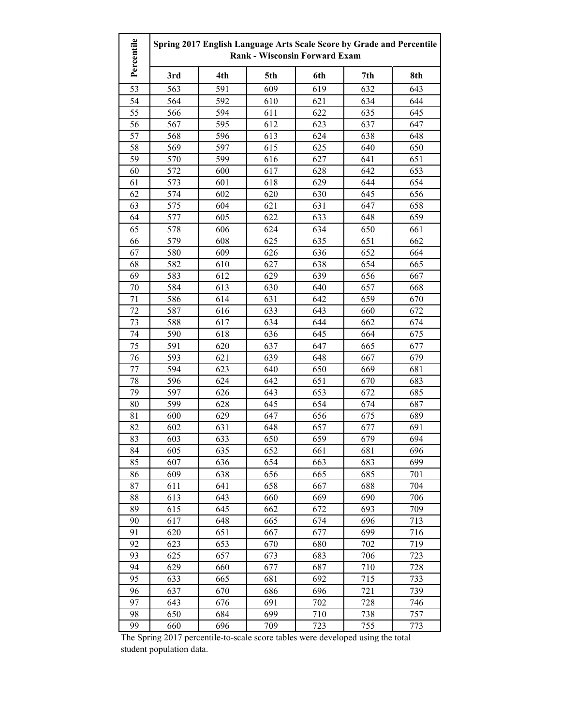| Percentile | Spring 2017 English Language Arts Scale Score by Grade and Percentile<br><b>Rank - Wisconsin Forward Exam</b> |     |     |     |     |     |
|------------|---------------------------------------------------------------------------------------------------------------|-----|-----|-----|-----|-----|
|            | 3rd                                                                                                           | 4th | 5th | 6th | 7th | 8th |
| 53         | 563                                                                                                           | 591 | 609 | 619 | 632 | 643 |
| 54         | 564                                                                                                           | 592 | 610 | 621 | 634 | 644 |
| 55         | 566                                                                                                           | 594 | 611 | 622 | 635 | 645 |
| 56         | 567                                                                                                           | 595 | 612 | 623 | 637 | 647 |
| 57         | 568                                                                                                           | 596 | 613 | 624 | 638 | 648 |
| 58         | 569                                                                                                           | 597 | 615 | 625 | 640 | 650 |
| 59         | 570                                                                                                           | 599 | 616 | 627 | 641 | 651 |
| 60         | 572                                                                                                           | 600 | 617 | 628 | 642 | 653 |
| 61         | 573                                                                                                           | 601 | 618 | 629 | 644 | 654 |
| 62         | 574                                                                                                           | 602 | 620 | 630 | 645 | 656 |
| 63         | 575                                                                                                           | 604 | 621 | 631 | 647 | 658 |
| 64         | 577                                                                                                           | 605 | 622 | 633 | 648 | 659 |
| 65         | 578                                                                                                           | 606 | 624 | 634 | 650 | 661 |
| 66         | 579                                                                                                           | 608 | 625 | 635 | 651 | 662 |
| 67         | 580                                                                                                           | 609 | 626 | 636 | 652 | 664 |
| 68         | 582                                                                                                           | 610 | 627 | 638 | 654 | 665 |
| 69         | 583                                                                                                           | 612 | 629 | 639 | 656 | 667 |
| 70         | 584                                                                                                           | 613 | 630 | 640 | 657 | 668 |
| 71         | 586                                                                                                           | 614 | 631 | 642 | 659 | 670 |
| 72         | 587                                                                                                           | 616 | 633 | 643 | 660 | 672 |
| 73         | 588                                                                                                           | 617 | 634 | 644 | 662 | 674 |
| 74         | 590                                                                                                           | 618 | 636 | 645 | 664 | 675 |
| 75         | 591                                                                                                           | 620 | 637 | 647 | 665 | 677 |
| 76         | 593                                                                                                           | 621 | 639 | 648 | 667 | 679 |
| 77         | 594                                                                                                           | 623 | 640 | 650 | 669 | 681 |
| 78         | 596                                                                                                           | 624 | 642 | 651 | 670 | 683 |
| 79         | 597                                                                                                           | 626 | 643 | 653 | 672 | 685 |
| 80         | 599                                                                                                           | 628 | 645 | 654 | 674 | 687 |
| 81         | 600                                                                                                           | 629 | 647 | 656 | 675 | 689 |
| 82         | 602                                                                                                           | 631 | 648 | 657 | 677 | 691 |
| 83         | 603                                                                                                           | 633 | 650 | 659 | 679 | 694 |
| 84         | 605                                                                                                           | 635 | 652 | 661 | 681 | 696 |
| 85         | 607                                                                                                           | 636 | 654 | 663 | 683 | 699 |
| 86         | 609                                                                                                           | 638 | 656 | 665 | 685 | 701 |
| 87         | 611                                                                                                           | 641 | 658 | 667 | 688 | 704 |
| 88         | 613                                                                                                           | 643 | 660 | 669 | 690 | 706 |
| 89         | 615                                                                                                           | 645 | 662 | 672 | 693 | 709 |
| 90         | 617                                                                                                           | 648 | 665 | 674 | 696 | 713 |
| 91         | 620                                                                                                           | 651 | 667 | 677 | 699 | 716 |
| 92         | 623                                                                                                           | 653 | 670 | 680 | 702 | 719 |
| 93         | 625                                                                                                           | 657 | 673 | 683 | 706 | 723 |
| 94         | 629                                                                                                           | 660 | 677 | 687 | 710 | 728 |
| 95         | 633                                                                                                           | 665 | 681 | 692 | 715 | 733 |
| 96         | 637                                                                                                           | 670 | 686 | 696 | 721 | 739 |
| 97         | 643                                                                                                           | 676 | 691 | 702 | 728 | 746 |
| 98         | 650                                                                                                           | 684 | 699 | 710 | 738 | 757 |
| 99         | 660                                                                                                           | 696 | 709 | 723 | 755 | 773 |

The Spring 2017 percentile-to-scale score tables were developed using the total student population data.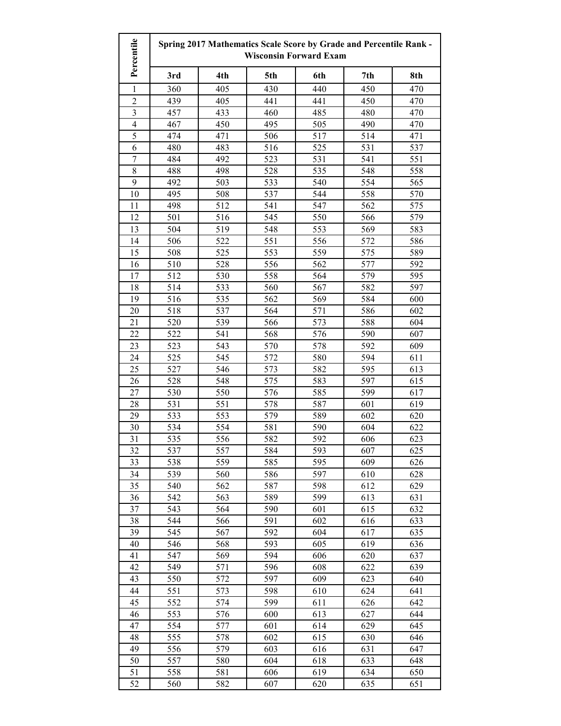| Percentile              | Spring 2017 Mathematics Scale Score by Grade and Percentile Rank -<br><b>Wisconsin Forward Exam</b> |            |            |            |            |            |
|-------------------------|-----------------------------------------------------------------------------------------------------|------------|------------|------------|------------|------------|
|                         | 3rd                                                                                                 | 4th        | 5th        | 6th        | 7th        | 8th        |
| 1                       | 360                                                                                                 | 405        | 430        | 440        | 450        | 470        |
| $\overline{c}$          | 439                                                                                                 | 405        | 441        | 441        | 450        | 470        |
| 3                       | 457                                                                                                 | 433        | 460        | 485        | 480        | 470        |
| $\overline{\mathbf{4}}$ | 467                                                                                                 | 450        | 495        | 505        | 490        | 470        |
| 5                       | 474                                                                                                 | 471        | 506        | 517        | 514        | 471        |
| 6                       | 480                                                                                                 | 483        | 516        | 525        | 531        | 537        |
| $\overline{7}$          | 484                                                                                                 | 492        | 523        | 531        | 541        | 551        |
| 8                       | 488                                                                                                 | 498        | 528        | 535        | 548        | 558        |
| 9                       | 492                                                                                                 | 503        | 533        | 540        | 554        | 565        |
| 10                      | 495                                                                                                 | 508        | 537        | 544        | 558        | 570        |
| 11                      | 498                                                                                                 | 512        | 541        | 547        | 562        | 575        |
| 12                      | 501                                                                                                 | 516        | 545        | 550        | 566        | 579        |
| 13                      | 504                                                                                                 | 519        | 548        | 553        | 569        | 583        |
| 14                      | 506                                                                                                 | 522        | 551        | 556        | 572        | 586        |
| 15                      | 508                                                                                                 | 525        | 553        | 559        | 575        | 589        |
| 16                      | 510                                                                                                 | 528        | 556        | 562        | 577        | 592        |
| 17                      | 512                                                                                                 | 530        | 558        | 564        | 579        | 595        |
| 18                      | 514                                                                                                 | 533        | 560        | 567        | 582        | 597        |
| 19                      | 516                                                                                                 | 535        | 562        | 569        | 584        | 600        |
| 20                      | 518                                                                                                 | 537        | 564        | 571        | 586        | 602        |
| 21                      | 520                                                                                                 | 539        | 566        | 573        | 588        | 604        |
| 22                      | 522                                                                                                 | 541        | 568        | 576        | 590        | 607        |
| 23                      | 523                                                                                                 | 543        | 570        | 578        | 592        | 609        |
| 24                      | 525                                                                                                 | 545        | 572        | 580        | 594        | 611        |
| 25                      | 527                                                                                                 | 546        | 573        | 582        | 595        | 613        |
| 26                      | 528                                                                                                 | 548        | 575        | 583        | 597        | 615        |
| 27                      | 530                                                                                                 | 550        | 576        | 585        | 599        | 617        |
| 28                      | 531                                                                                                 | 551        | 578        | 587        | 601        | 619        |
| 29                      | 533                                                                                                 | 553        | 579        | 589        | 602        | 620        |
| 30                      | 534                                                                                                 | 554        | 581        | 590        | 604        | 622        |
| 31                      | 535                                                                                                 | 556        | 582        | 592        | 606        | 623        |
| 32                      | 537                                                                                                 | 557        | 584        | 593        | 607        | 625        |
| 33                      | 538                                                                                                 | 559        | 585        | 595        | 609        | 626        |
| 34                      | 539                                                                                                 | 560        | 586        | 597        | 610        | 628        |
| 35                      | 540                                                                                                 | 562        | 587        | 598        | 612        | 629        |
| 36                      | 542                                                                                                 | 563        | 589        | 599        | 613        | 631        |
| 37                      | 543                                                                                                 | 564        | 590        | 601        | 615        | 632        |
| 38                      | 544                                                                                                 | 566        | 591        | 602        | 616        | 633        |
| 39                      | 545                                                                                                 | 567        | 592        | 604        | 617        | 635        |
| 40                      | 546                                                                                                 | 568        | 593        | 605        | 619        | 636        |
| 41                      | 547                                                                                                 | 569        | 594        | 606        | 620        | 637        |
| 42                      | 549                                                                                                 | 571        | 596        | 608        | 622        | 639        |
| 43<br>44                | 550<br>551                                                                                          | 572<br>573 | 597<br>598 | 609        | 623<br>624 | 640<br>641 |
| 45                      | 552                                                                                                 | 574        | 599        | 610<br>611 | 626        | 642        |
| 46                      | 553                                                                                                 | 576        | 600        | 613        | 627        | 644        |
| 47                      | 554                                                                                                 | 577        | 601        | 614        | 629        | 645        |
| 48                      | 555                                                                                                 | 578        | 602        | 615        | 630        | 646        |
| 49                      | 556                                                                                                 | 579        | 603        | 616        | 631        | 647        |
| 50                      | 557                                                                                                 | 580        | 604        | 618        | 633        | 648        |
| 51                      | 558                                                                                                 | 581        | 606        | 619        | 634        | 650        |
| 52                      | 560                                                                                                 | 582        | 607        | 620        | 635        | 651        |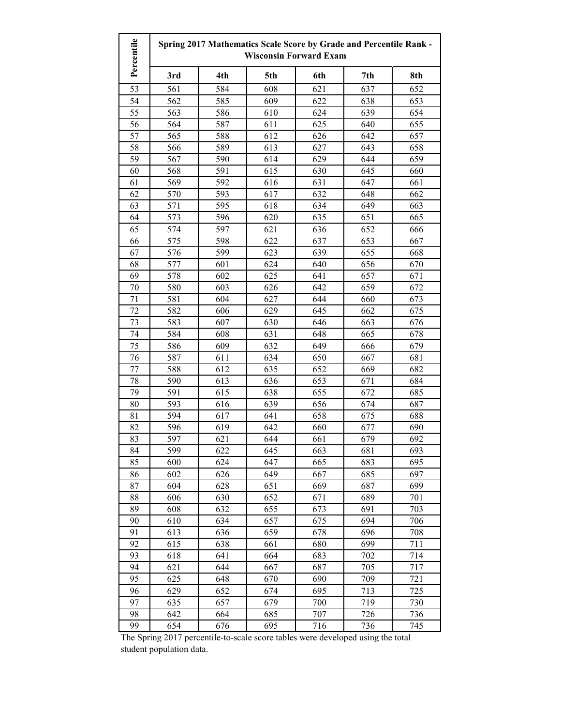| Percentile<br>Spring 2017 Mathematics Scale Score by Grade and Percentile Rank -<br><b>Wisconsin Forward Exam</b> |     |     |     |     |     |     |
|-------------------------------------------------------------------------------------------------------------------|-----|-----|-----|-----|-----|-----|
|                                                                                                                   | 3rd | 4th | 5th | 6th | 7th | 8th |
| 53                                                                                                                | 561 | 584 | 608 | 621 | 637 | 652 |
| 54                                                                                                                | 562 | 585 | 609 | 622 | 638 | 653 |
| 55                                                                                                                | 563 | 586 | 610 | 624 | 639 | 654 |
| 56                                                                                                                | 564 | 587 | 611 | 625 | 640 | 655 |
| 57                                                                                                                | 565 | 588 | 612 | 626 | 642 | 657 |
| 58                                                                                                                | 566 | 589 | 613 | 627 | 643 | 658 |
| 59                                                                                                                | 567 | 590 | 614 | 629 | 644 | 659 |
| 60                                                                                                                | 568 | 591 | 615 | 630 | 645 | 660 |
| 61                                                                                                                | 569 | 592 | 616 | 631 | 647 | 661 |
| 62                                                                                                                | 570 | 593 | 617 | 632 | 648 | 662 |
| 63                                                                                                                | 571 | 595 | 618 | 634 | 649 | 663 |
| 64                                                                                                                | 573 | 596 | 620 | 635 | 651 | 665 |
| 65                                                                                                                | 574 | 597 | 621 | 636 | 652 | 666 |
| 66                                                                                                                | 575 | 598 | 622 | 637 | 653 | 667 |
| 67                                                                                                                | 576 | 599 | 623 | 639 | 655 | 668 |
| 68                                                                                                                | 577 | 601 | 624 | 640 | 656 | 670 |
| 69                                                                                                                | 578 | 602 | 625 | 641 | 657 | 671 |
| 70                                                                                                                | 580 | 603 | 626 | 642 | 659 | 672 |
| 71                                                                                                                | 581 | 604 | 627 | 644 | 660 | 673 |
| 72                                                                                                                | 582 | 606 | 629 | 645 | 662 | 675 |
| 73                                                                                                                | 583 | 607 | 630 | 646 | 663 | 676 |
| 74                                                                                                                | 584 | 608 | 631 | 648 | 665 | 678 |
| 75                                                                                                                | 586 | 609 | 632 | 649 | 666 | 679 |
| 76                                                                                                                | 587 | 611 | 634 | 650 | 667 | 681 |
| 77                                                                                                                | 588 | 612 | 635 | 652 | 669 | 682 |
| 78                                                                                                                | 590 | 613 | 636 | 653 | 671 | 684 |
| 79                                                                                                                | 591 | 615 | 638 | 655 | 672 | 685 |
| 80                                                                                                                | 593 | 616 | 639 | 656 | 674 | 687 |
| 81                                                                                                                | 594 | 617 | 641 | 658 | 675 | 688 |
| 82                                                                                                                | 596 | 619 | 642 | 660 | 677 | 690 |
| 83                                                                                                                | 597 | 621 | 644 | 661 | 679 | 692 |
| 84                                                                                                                | 599 | 622 | 645 | 663 | 681 | 693 |
| 85                                                                                                                | 600 | 624 | 647 | 665 | 683 | 695 |
| 86                                                                                                                | 602 | 626 | 649 | 667 | 685 | 697 |
| 87                                                                                                                | 604 | 628 | 651 | 669 | 687 | 699 |
| 88                                                                                                                | 606 | 630 | 652 | 671 | 689 | 701 |
| 89                                                                                                                | 608 | 632 | 655 | 673 | 691 | 703 |
| 90                                                                                                                | 610 | 634 | 657 | 675 | 694 | 706 |
| 91                                                                                                                | 613 | 636 | 659 | 678 | 696 | 708 |
| 92                                                                                                                | 615 | 638 | 661 | 680 | 699 | 711 |
| 93                                                                                                                | 618 | 641 | 664 | 683 | 702 | 714 |
| 94                                                                                                                | 621 | 644 | 667 | 687 | 705 | 717 |
| 95                                                                                                                | 625 | 648 | 670 | 690 | 709 | 721 |
| 96                                                                                                                | 629 | 652 | 674 | 695 | 713 | 725 |
| 97                                                                                                                | 635 | 657 | 679 | 700 | 719 | 730 |
| 98                                                                                                                | 642 | 664 | 685 | 707 | 726 | 736 |
| 99                                                                                                                | 654 | 676 | 695 | 716 | 736 | 745 |

The Spring 2017 percentile-to-scale score tables were developed using the total student population data.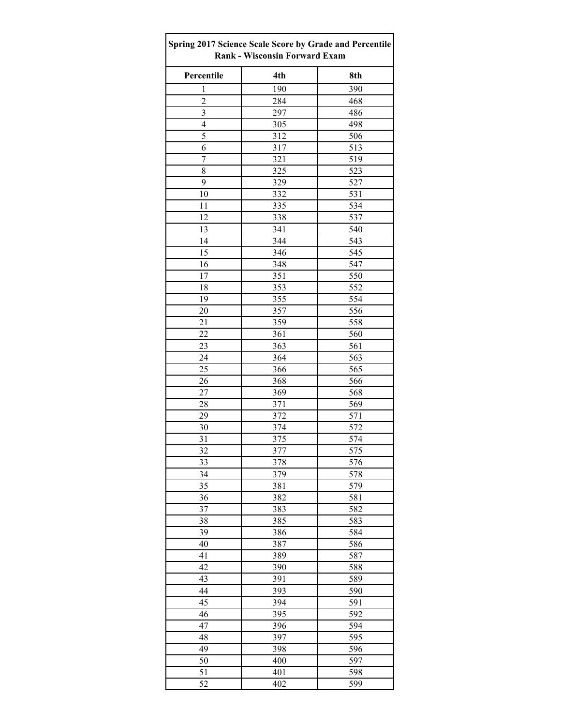| Spring 2017 Science Scale Score by Grade and Percentile<br><b>Rank - Wisconsin Forward Exam</b> |     |     |  |  |
|-------------------------------------------------------------------------------------------------|-----|-----|--|--|
| Percentile                                                                                      | 4th | 8th |  |  |
| $\mathbf{1}$                                                                                    | 190 | 390 |  |  |
| $\overline{c}$                                                                                  | 284 | 468 |  |  |
| 3                                                                                               | 297 | 486 |  |  |
| 4                                                                                               | 305 | 498 |  |  |
| 5                                                                                               | 312 | 506 |  |  |
| 6                                                                                               | 317 | 513 |  |  |
| $\overline{7}$                                                                                  | 321 | 519 |  |  |
| 8                                                                                               | 325 | 523 |  |  |
| 9                                                                                               | 329 | 527 |  |  |
| 10                                                                                              | 332 | 531 |  |  |
| 11                                                                                              | 335 | 534 |  |  |
| 12                                                                                              | 338 | 537 |  |  |
| 13                                                                                              | 341 | 540 |  |  |
| 14                                                                                              | 344 | 543 |  |  |
| 15                                                                                              | 346 | 545 |  |  |
| 16                                                                                              | 348 | 547 |  |  |
| 17                                                                                              | 351 | 550 |  |  |
| 18                                                                                              | 353 | 552 |  |  |
| 19                                                                                              | 355 | 554 |  |  |
| 20                                                                                              | 357 | 556 |  |  |
| 21                                                                                              | 359 | 558 |  |  |
| 22                                                                                              | 361 | 560 |  |  |
| 23                                                                                              | 363 | 561 |  |  |
| 24                                                                                              | 364 | 563 |  |  |
| 25                                                                                              | 366 | 565 |  |  |
| 26                                                                                              | 368 | 566 |  |  |
| 27                                                                                              | 369 | 568 |  |  |
| 28                                                                                              | 371 | 569 |  |  |
| 29                                                                                              | 372 | 571 |  |  |
| 30                                                                                              | 374 | 572 |  |  |
| 31                                                                                              | 375 | 574 |  |  |
| 32                                                                                              | 377 | 575 |  |  |
| $\overline{33}$                                                                                 | 378 | 576 |  |  |
| 34                                                                                              | 379 | 578 |  |  |
| 35                                                                                              | 381 | 579 |  |  |
| 36                                                                                              | 382 | 581 |  |  |
| 37                                                                                              | 383 | 582 |  |  |
| 38                                                                                              | 385 | 583 |  |  |
| 39                                                                                              | 386 | 584 |  |  |
| 40                                                                                              | 387 | 586 |  |  |
| 41                                                                                              | 389 | 587 |  |  |
| 42                                                                                              | 390 | 588 |  |  |
| 43                                                                                              | 391 | 589 |  |  |
| 44                                                                                              | 393 | 590 |  |  |
| 45                                                                                              | 394 | 591 |  |  |
| 46                                                                                              | 395 | 592 |  |  |
| 47                                                                                              | 396 | 594 |  |  |
| 48                                                                                              | 397 | 595 |  |  |
| 49                                                                                              | 398 | 596 |  |  |
| 50                                                                                              | 400 | 597 |  |  |
| 51                                                                                              | 401 | 598 |  |  |
| 52                                                                                              | 402 | 599 |  |  |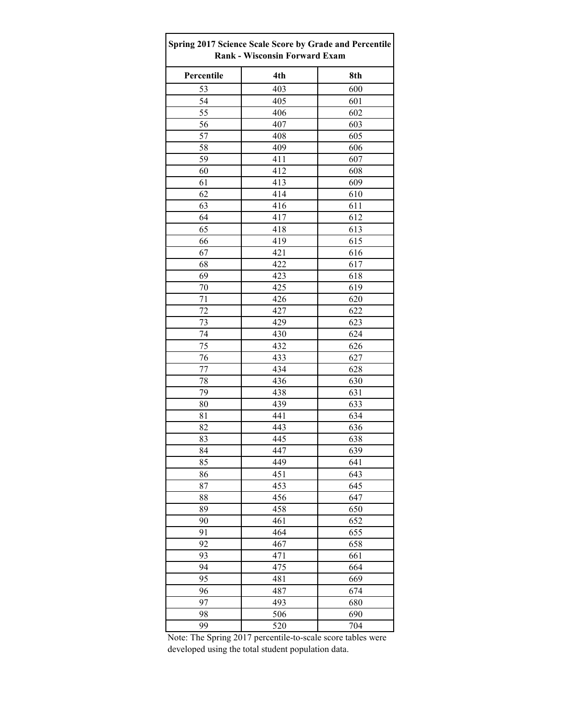| Spring 2017 Science Scale Score by Grade and Percentile<br><b>Rank - Wisconsin Forward Exam</b> |     |     |  |  |
|-------------------------------------------------------------------------------------------------|-----|-----|--|--|
| Percentile                                                                                      | 4th | 8th |  |  |
| 53                                                                                              | 403 | 600 |  |  |
| 54                                                                                              | 405 | 601 |  |  |
| 55                                                                                              | 406 | 602 |  |  |
| 56                                                                                              | 407 | 603 |  |  |
| 57                                                                                              | 408 | 605 |  |  |
| 58                                                                                              | 409 | 606 |  |  |
| 59                                                                                              | 411 | 607 |  |  |
| 60                                                                                              | 412 | 608 |  |  |
| 61                                                                                              | 413 | 609 |  |  |
| 62                                                                                              | 414 | 610 |  |  |
| 63                                                                                              | 416 | 611 |  |  |
| 64                                                                                              | 417 | 612 |  |  |
| 65                                                                                              | 418 | 613 |  |  |
| 66                                                                                              | 419 | 615 |  |  |
| 67                                                                                              | 421 | 616 |  |  |
| 68                                                                                              | 422 | 617 |  |  |
| 69                                                                                              | 423 | 618 |  |  |
| 70                                                                                              | 425 | 619 |  |  |
| 71                                                                                              | 426 | 620 |  |  |
| 72                                                                                              | 427 | 622 |  |  |
| 73                                                                                              | 429 | 623 |  |  |
| 74                                                                                              | 430 | 624 |  |  |
| 75                                                                                              | 432 | 626 |  |  |
| 76                                                                                              | 433 | 627 |  |  |
| 77                                                                                              | 434 | 628 |  |  |
| 78                                                                                              | 436 | 630 |  |  |
| 79                                                                                              | 438 | 631 |  |  |
| 80                                                                                              | 439 | 633 |  |  |
| 81                                                                                              | 441 | 634 |  |  |
| 82                                                                                              | 443 | 636 |  |  |
| 83                                                                                              | 445 | 638 |  |  |
| 84                                                                                              | 447 | 639 |  |  |
| 85                                                                                              | 449 | 641 |  |  |
| 86                                                                                              | 451 | 643 |  |  |
| 87                                                                                              | 453 | 645 |  |  |
| 88                                                                                              | 456 | 647 |  |  |
| 89                                                                                              | 458 | 650 |  |  |
| 90                                                                                              | 461 | 652 |  |  |
| 91                                                                                              | 464 | 655 |  |  |
| 92                                                                                              | 467 | 658 |  |  |
| 93                                                                                              | 471 | 661 |  |  |
| 94                                                                                              | 475 | 664 |  |  |
| 95                                                                                              | 481 | 669 |  |  |
| 96                                                                                              | 487 | 674 |  |  |
| 97                                                                                              | 493 | 680 |  |  |
| 98                                                                                              | 506 | 690 |  |  |
| 99                                                                                              | 520 | 704 |  |  |

Note: The Spring 2017 percentile-to-scale score tables were developed using the total student population data.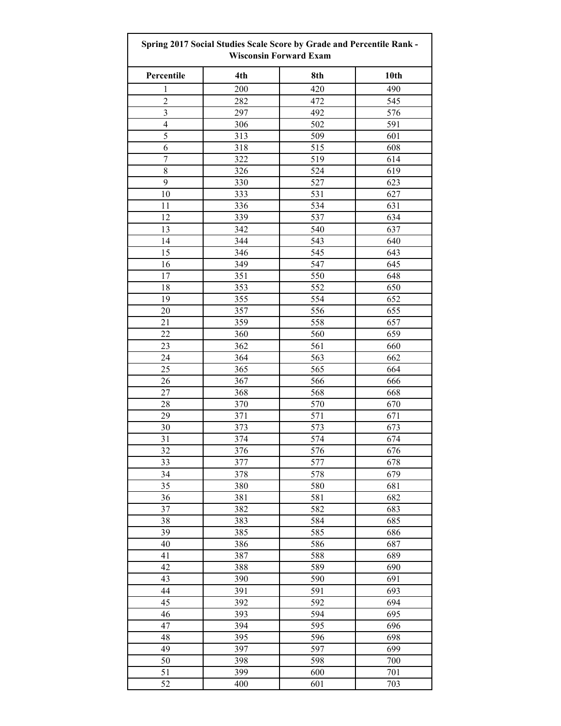| Spring 2017 Social Studies Scale Score by Grade and Percentile Rank -<br><b>Wisconsin Forward Exam</b> |     |     |      |  |
|--------------------------------------------------------------------------------------------------------|-----|-----|------|--|
| Percentile                                                                                             | 4th | 8th | 10th |  |
| 1                                                                                                      | 200 | 420 | 490  |  |
| $\overline{2}$                                                                                         | 282 | 472 | 545  |  |
| $\overline{\mathbf{3}}$                                                                                | 297 | 492 | 576  |  |
| $\overline{4}$                                                                                         | 306 | 502 | 591  |  |
| 5                                                                                                      | 313 | 509 | 601  |  |
| 6                                                                                                      | 318 | 515 | 608  |  |
| $\boldsymbol{7}$                                                                                       | 322 | 519 | 614  |  |
| 8                                                                                                      | 326 | 524 | 619  |  |
| 9                                                                                                      | 330 | 527 | 623  |  |
| 10                                                                                                     | 333 | 531 | 627  |  |
| 11                                                                                                     | 336 | 534 | 631  |  |
| 12                                                                                                     | 339 | 537 | 634  |  |
|                                                                                                        |     |     |      |  |
| 13                                                                                                     | 342 | 540 | 637  |  |
| 14                                                                                                     | 344 | 543 | 640  |  |
| 15                                                                                                     | 346 | 545 | 643  |  |
| 16                                                                                                     | 349 | 547 | 645  |  |
| 17                                                                                                     | 351 | 550 | 648  |  |
| 18                                                                                                     | 353 | 552 | 650  |  |
| 19                                                                                                     | 355 | 554 | 652  |  |
| 20                                                                                                     | 357 | 556 | 655  |  |
| 21                                                                                                     | 359 | 558 | 657  |  |
| 22                                                                                                     | 360 | 560 | 659  |  |
| 23                                                                                                     | 362 | 561 | 660  |  |
| 24                                                                                                     | 364 | 563 | 662  |  |
| 25                                                                                                     | 365 | 565 | 664  |  |
| 26                                                                                                     | 367 | 566 | 666  |  |
| 27                                                                                                     | 368 | 568 | 668  |  |
| 28                                                                                                     | 370 | 570 | 670  |  |
| 29                                                                                                     | 371 | 571 | 671  |  |
| 30                                                                                                     | 373 | 573 | 673  |  |
| 31                                                                                                     | 374 | 574 | 674  |  |
| 32                                                                                                     | 376 | 576 | 676  |  |
| 33                                                                                                     | 377 | 577 | 678  |  |
| 34                                                                                                     | 378 | 578 | 679  |  |
| 35                                                                                                     | 380 | 580 | 681  |  |
| 36                                                                                                     | 381 | 581 | 682  |  |
| 37                                                                                                     | 382 | 582 | 683  |  |
| 38                                                                                                     | 383 | 584 | 685  |  |
| 39                                                                                                     | 385 | 585 | 686  |  |
| 40                                                                                                     | 386 | 586 | 687  |  |
| 41                                                                                                     | 387 | 588 | 689  |  |
| 42                                                                                                     | 388 | 589 | 690  |  |
| 43                                                                                                     |     |     |      |  |
|                                                                                                        | 390 | 590 | 691  |  |
| 44                                                                                                     | 391 | 591 | 693  |  |
| 45                                                                                                     | 392 | 592 | 694  |  |
| 46                                                                                                     | 393 | 594 | 695  |  |
| 47                                                                                                     | 394 | 595 | 696  |  |
| 48                                                                                                     | 395 | 596 | 698  |  |
| 49                                                                                                     | 397 | 597 | 699  |  |
| 50                                                                                                     | 398 | 598 | 700  |  |
| 51                                                                                                     | 399 | 600 | 701  |  |
| 52                                                                                                     | 400 | 601 | 703  |  |